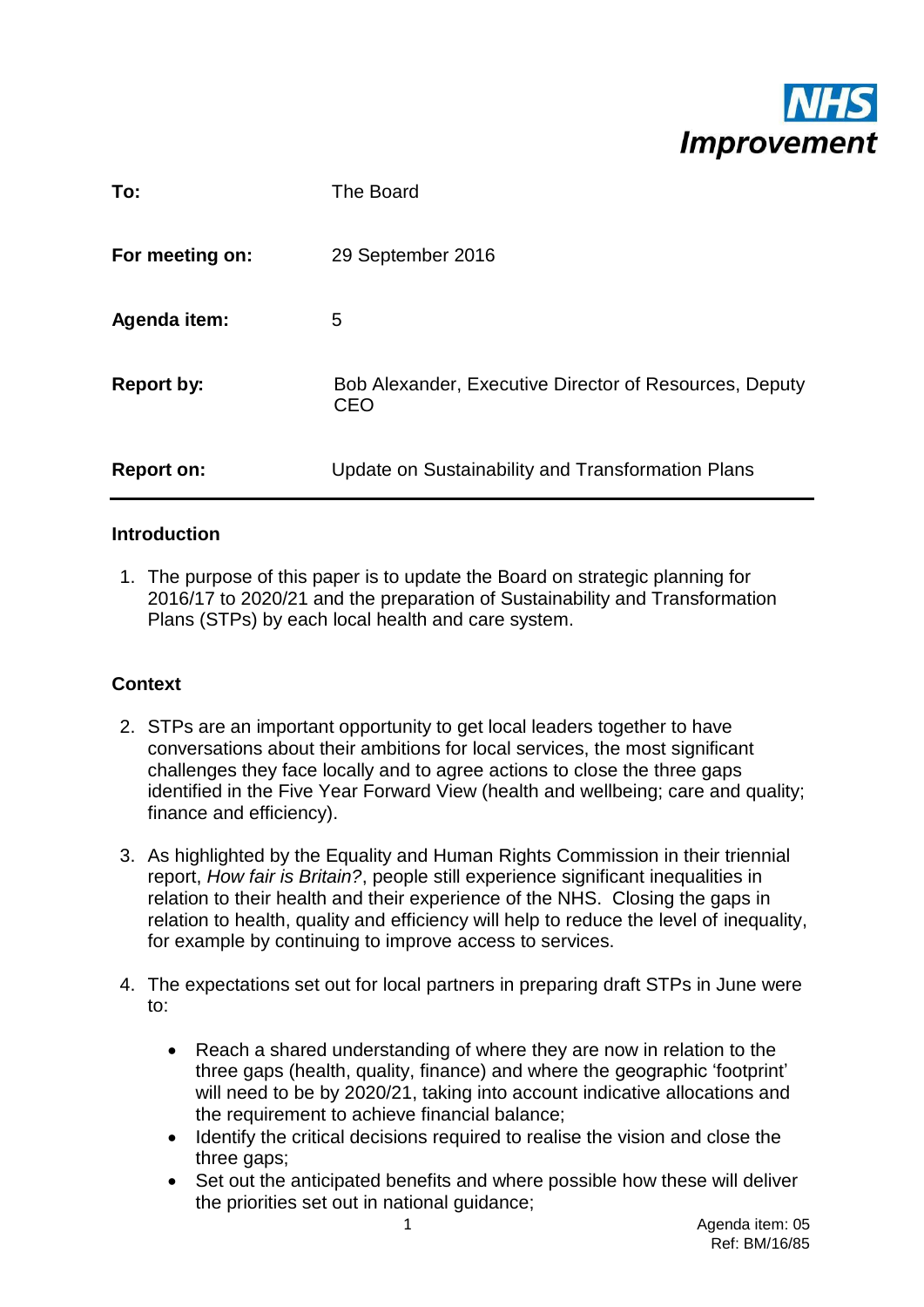

| To:               | The Board                                                            |
|-------------------|----------------------------------------------------------------------|
| For meeting on:   | 29 September 2016                                                    |
| Agenda item:      | 5                                                                    |
| <b>Report by:</b> | Bob Alexander, Executive Director of Resources, Deputy<br><b>CEO</b> |
| <b>Report on:</b> | Update on Sustainability and Transformation Plans                    |

## **Introduction**

1. The purpose of this paper is to update the Board on strategic planning for 2016/17 to 2020/21 and the preparation of Sustainability and Transformation Plans (STPs) by each local health and care system.

## **Context**

- 2. STPs are an important opportunity to get local leaders together to have conversations about their ambitions for local services, the most significant challenges they face locally and to agree actions to close the three gaps identified in the Five Year Forward View (health and wellbeing; care and quality; finance and efficiency).
- 3. As highlighted by the Equality and Human Rights Commission in their triennial report, *How fair is Britain?*, people still experience significant inequalities in relation to their health and their experience of the NHS. Closing the gaps in relation to health, quality and efficiency will help to reduce the level of inequality, for example by continuing to improve access to services.
- 4. The expectations set out for local partners in preparing draft STPs in June were to:
	- Reach a shared understanding of where they are now in relation to the three gaps (health, quality, finance) and where the geographic 'footprint' will need to be by 2020/21, taking into account indicative allocations and the requirement to achieve financial balance;
	- Identify the critical decisions required to realise the vision and close the three gaps;
	- Set out the anticipated benefits and where possible how these will deliver the priorities set out in national guidance;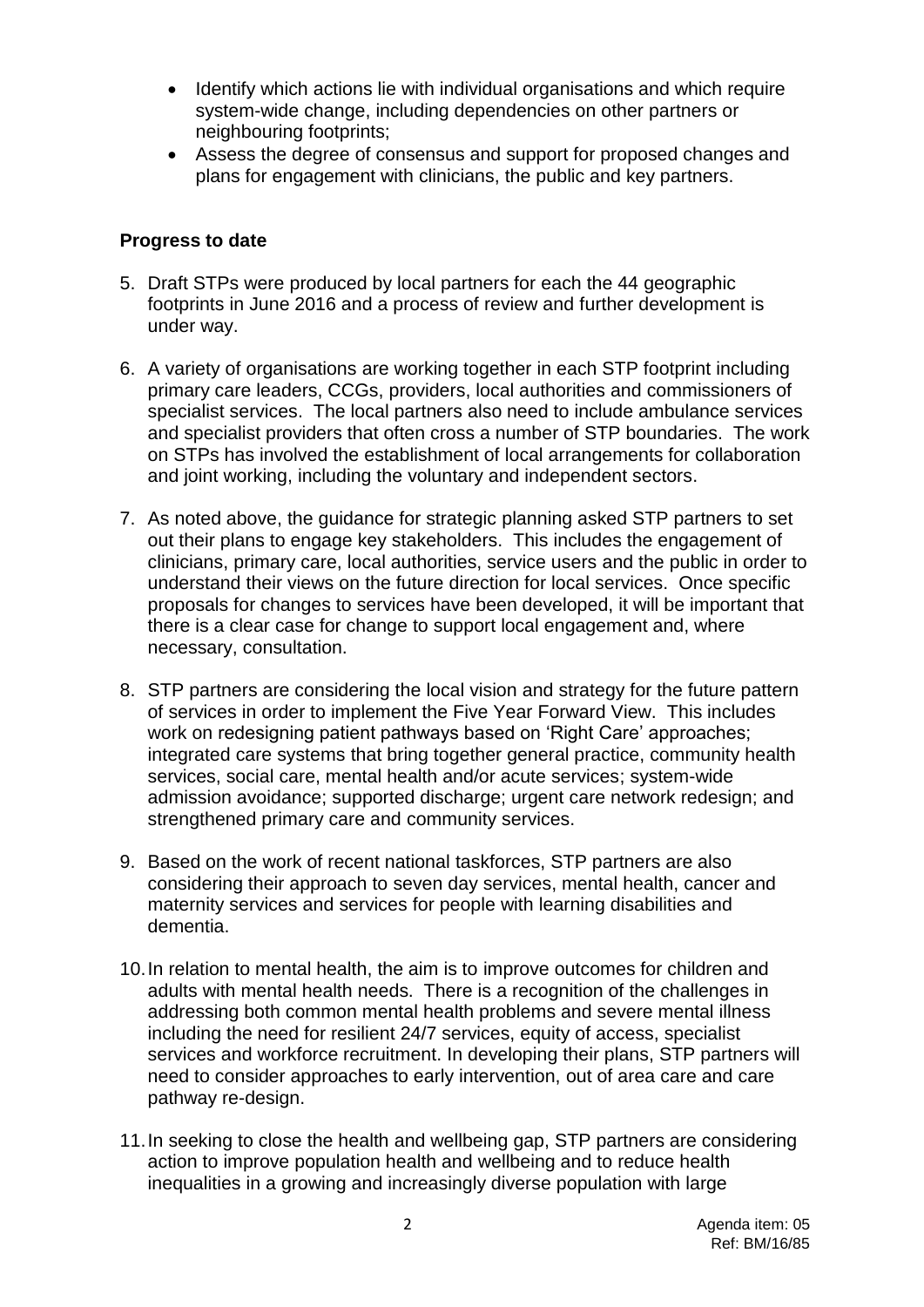- Identify which actions lie with individual organisations and which require system-wide change, including dependencies on other partners or neighbouring footprints;
- Assess the degree of consensus and support for proposed changes and plans for engagement with clinicians, the public and key partners.

#### **Progress to date**

- 5. Draft STPs were produced by local partners for each the 44 geographic footprints in June 2016 and a process of review and further development is under way.
- 6. A variety of organisations are working together in each STP footprint including primary care leaders, CCGs, providers, local authorities and commissioners of specialist services. The local partners also need to include ambulance services and specialist providers that often cross a number of STP boundaries. The work on STPs has involved the establishment of local arrangements for collaboration and joint working, including the voluntary and independent sectors.
- 7. As noted above, the guidance for strategic planning asked STP partners to set out their plans to engage key stakeholders. This includes the engagement of clinicians, primary care, local authorities, service users and the public in order to understand their views on the future direction for local services. Once specific proposals for changes to services have been developed, it will be important that there is a clear case for change to support local engagement and, where necessary, consultation.
- 8. STP partners are considering the local vision and strategy for the future pattern of services in order to implement the Five Year Forward View. This includes work on redesigning patient pathways based on 'Right Care' approaches; integrated care systems that bring together general practice, community health services, social care, mental health and/or acute services; system-wide admission avoidance; supported discharge; urgent care network redesign; and strengthened primary care and community services.
- 9. Based on the work of recent national taskforces, STP partners are also considering their approach to seven day services, mental health, cancer and maternity services and services for people with learning disabilities and dementia.
- 10.In relation to mental health, the aim is to improve outcomes for children and adults with mental health needs. There is a recognition of the challenges in addressing both common mental health problems and severe mental illness including the need for resilient 24/7 services, equity of access, specialist services and workforce recruitment. In developing their plans, STP partners will need to consider approaches to early intervention, out of area care and care pathway re-design.
- 11.In seeking to close the health and wellbeing gap, STP partners are considering action to improve population health and wellbeing and to reduce health inequalities in a growing and increasingly diverse population with large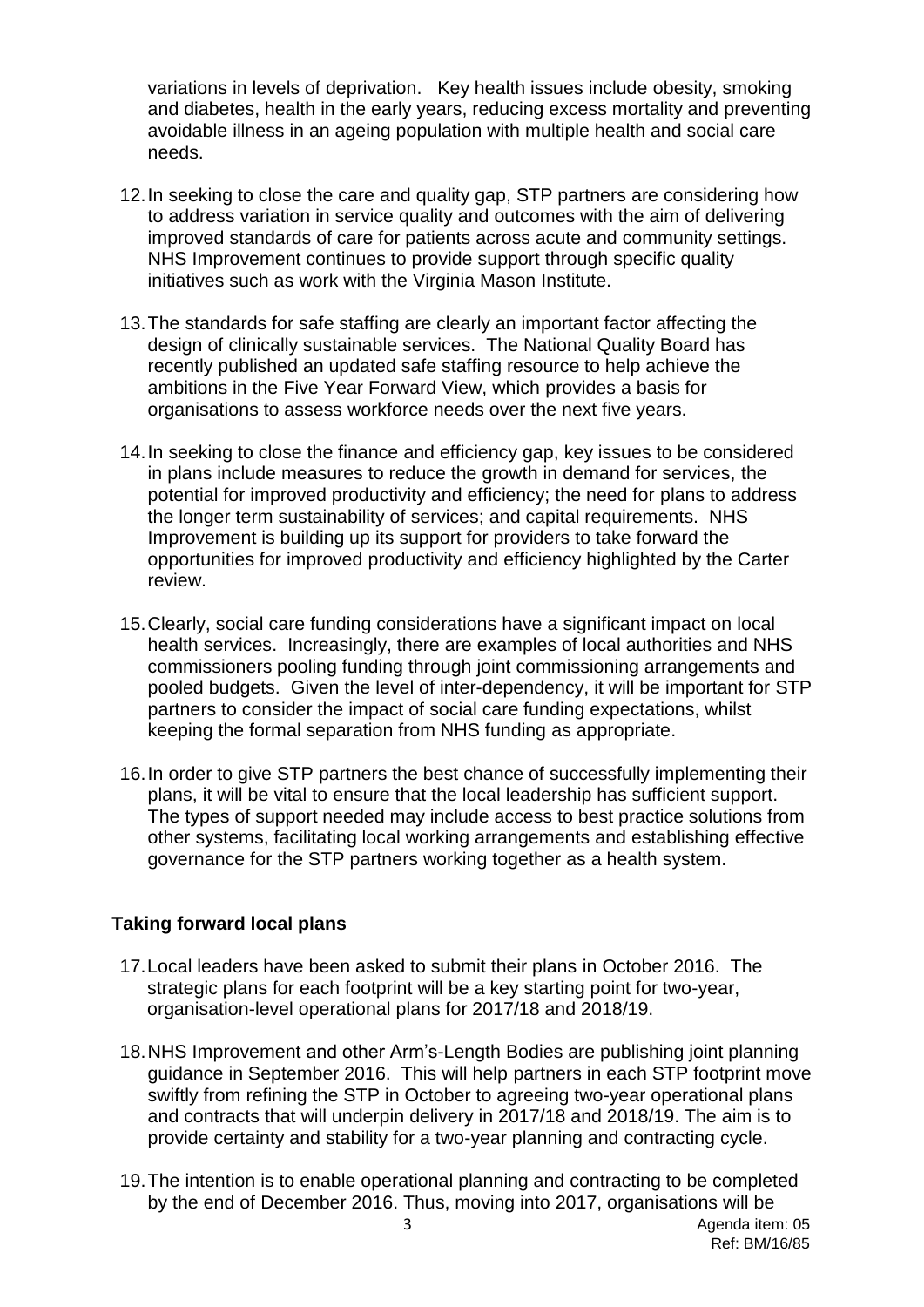variations in levels of deprivation. Key health issues include obesity, smoking and diabetes, health in the early years, reducing excess mortality and preventing avoidable illness in an ageing population with multiple health and social care needs.

- 12.In seeking to close the care and quality gap, STP partners are considering how to address variation in service quality and outcomes with the aim of delivering improved standards of care for patients across acute and community settings. NHS Improvement continues to provide support through specific quality initiatives such as work with the Virginia Mason Institute.
- 13.The standards for safe staffing are clearly an important factor affecting the design of clinically sustainable services. The National Quality Board has recently published an updated safe staffing resource to help achieve the ambitions in the Five Year Forward View, which provides a basis for organisations to assess workforce needs over the next five years.
- 14.In seeking to close the finance and efficiency gap, key issues to be considered in plans include measures to reduce the growth in demand for services, the potential for improved productivity and efficiency; the need for plans to address the longer term sustainability of services; and capital requirements. NHS Improvement is building up its support for providers to take forward the opportunities for improved productivity and efficiency highlighted by the Carter review.
- 15.Clearly, social care funding considerations have a significant impact on local health services. Increasingly, there are examples of local authorities and NHS commissioners pooling funding through joint commissioning arrangements and pooled budgets. Given the level of inter-dependency, it will be important for STP partners to consider the impact of social care funding expectations, whilst keeping the formal separation from NHS funding as appropriate.
- 16.In order to give STP partners the best chance of successfully implementing their plans, it will be vital to ensure that the local leadership has sufficient support. The types of support needed may include access to best practice solutions from other systems, facilitating local working arrangements and establishing effective governance for the STP partners working together as a health system.

#### **Taking forward local plans**

- 17.Local leaders have been asked to submit their plans in October 2016. The strategic plans for each footprint will be a key starting point for two-year, organisation-level operational plans for 2017/18 and 2018/19.
- 18.NHS Improvement and other Arm's-Length Bodies are publishing joint planning guidance in September 2016. This will help partners in each STP footprint move swiftly from refining the STP in October to agreeing two-year operational plans and contracts that will underpin delivery in 2017/18 and 2018/19. The aim is to provide certainty and stability for a two-year planning and contracting cycle.
- 19.The intention is to enable operational planning and contracting to be completed by the end of December 2016. Thus, moving into 2017, organisations will be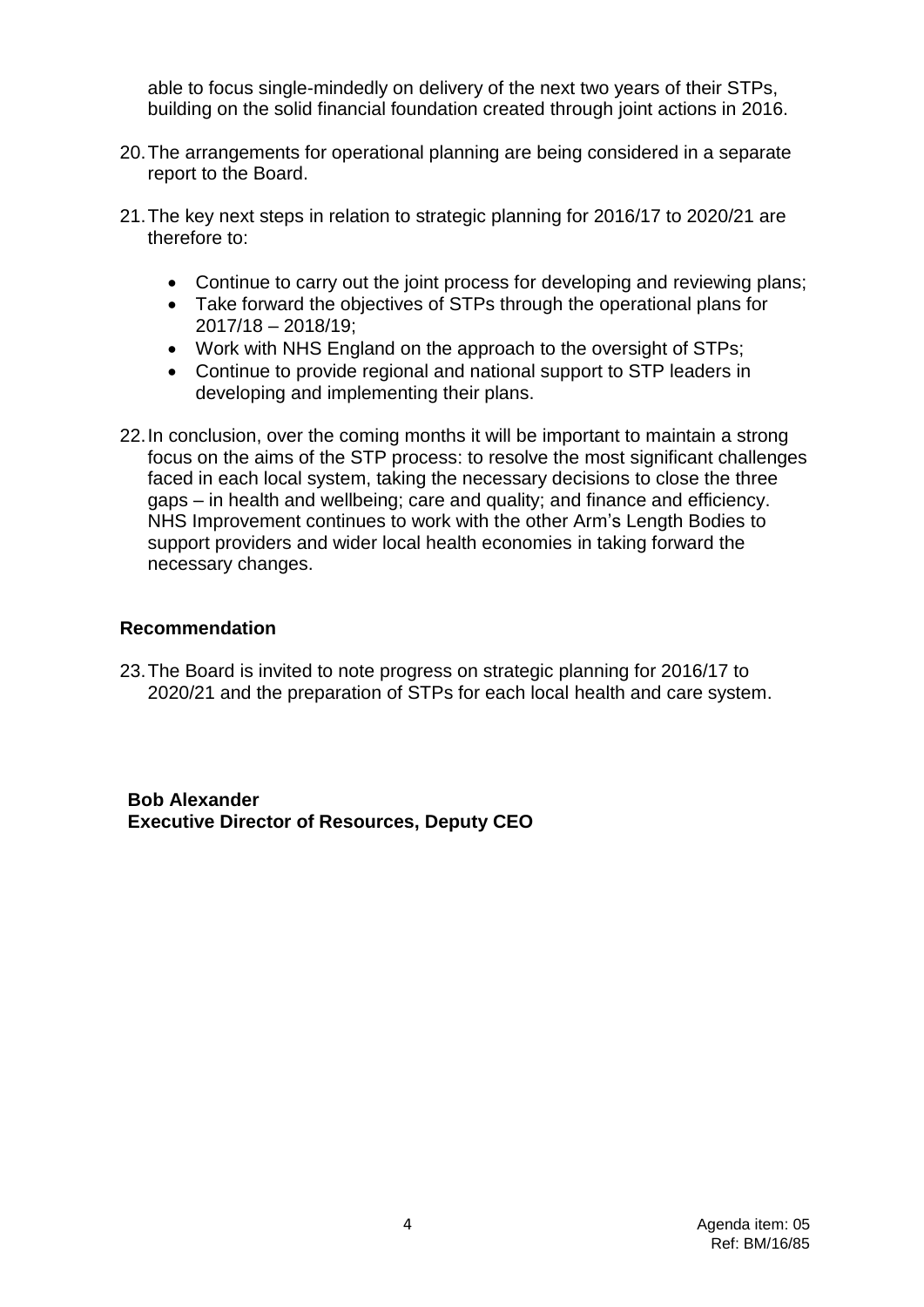able to focus single-mindedly on delivery of the next two years of their STPs, building on the solid financial foundation created through joint actions in 2016.

- 20.The arrangements for operational planning are being considered in a separate report to the Board.
- 21.The key next steps in relation to strategic planning for 2016/17 to 2020/21 are therefore to:
	- Continue to carry out the joint process for developing and reviewing plans;
	- Take forward the objectives of STPs through the operational plans for 2017/18 – 2018/19;
	- Work with NHS England on the approach to the oversight of STPs;
	- Continue to provide regional and national support to STP leaders in developing and implementing their plans.
- 22.In conclusion, over the coming months it will be important to maintain a strong focus on the aims of the STP process: to resolve the most significant challenges faced in each local system, taking the necessary decisions to close the three gaps – in health and wellbeing; care and quality; and finance and efficiency. NHS Improvement continues to work with the other Arm's Length Bodies to support providers and wider local health economies in taking forward the necessary changes.

## **Recommendation**

23.The Board is invited to note progress on strategic planning for 2016/17 to 2020/21 and the preparation of STPs for each local health and care system.

**Bob Alexander Executive Director of Resources, Deputy CEO**